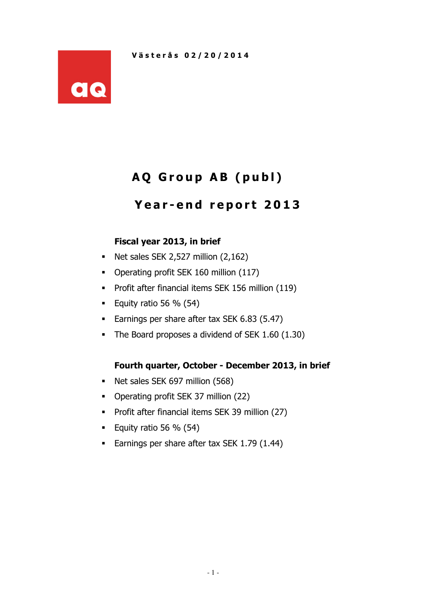

# AQ Group AB (publ)

# Year-end report 2013

### Fiscal year 2013, in brief

- Net sales SEK 2,527 million  $(2,162)$
- Operating profit SEK 160 million (117)
- **Profit after financial items SEK 156 million (119)**
- Equity ratio 56  $%$  (54)
- **Earnings per share after tax SEK 6.83 (5.47)**
- The Board proposes a dividend of SEK 1.60 (1.30)

### Fourth quarter, October - December 2013, in brief

- Net sales SEK 697 million (568)
- Operating profit SEK 37 million (22)
- **Profit after financial items SEK 39 million (27)**
- Equity ratio 56  $%$  (54)
- Earnings per share after tax SEK 1.79 (1.44)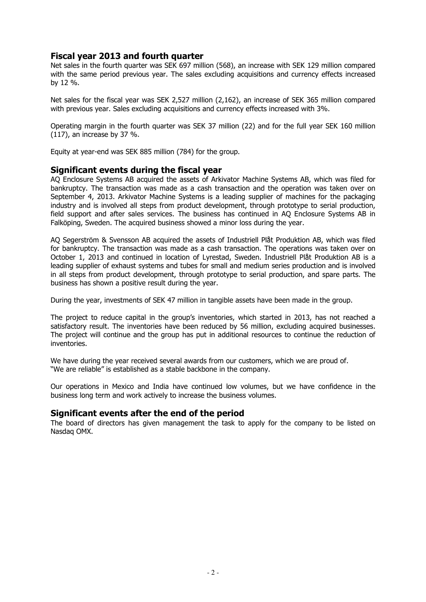#### Fiscal year 2013 and fourth quarter

Net sales in the fourth quarter was SEK 697 million (568), an increase with SEK 129 million compared with the same period previous year. The sales excluding acquisitions and currency effects increased by 12 %.

Net sales for the fiscal year was SEK 2,527 million (2,162), an increase of SEK 365 million compared with previous year. Sales excluding acquisitions and currency effects increased with 3%.

Operating margin in the fourth quarter was SEK 37 million (22) and for the full year SEK 160 million (117), an increase by 37 %.

Equity at year-end was SEK 885 million (784) for the group.

#### Significant events during the fiscal year

AQ Enclosure Systems AB acquired the assets of Arkivator Machine Systems AB, which was filed for bankruptcy. The transaction was made as a cash transaction and the operation was taken over on September 4, 2013. Arkivator Machine Systems is a leading supplier of machines for the packaging industry and is involved all steps from product development, through prototype to serial production, field support and after sales services. The business has continued in AQ Enclosure Systems AB in Falköping, Sweden. The acquired business showed a minor loss during the year.

AQ Segerström & Svensson AB acquired the assets of Industriell Plåt Produktion AB, which was filed for bankruptcy. The transaction was made as a cash transaction. The operations was taken over on October 1, 2013 and continued in location of Lyrestad, Sweden. Industriell Plåt Produktion AB is a leading supplier of exhaust systems and tubes for small and medium series production and is involved in all steps from product development, through prototype to serial production, and spare parts. The business has shown a positive result during the year.

During the year, investments of SEK 47 million in tangible assets have been made in the group.

The project to reduce capital in the group's inventories, which started in 2013, has not reached a satisfactory result. The inventories have been reduced by 56 million, excluding acquired businesses. The project will continue and the group has put in additional resources to continue the reduction of inventories.

We have during the year received several awards from our customers, which we are proud of. "We are reliable" is established as a stable backbone in the company.

Our operations in Mexico and India have continued low volumes, but we have confidence in the business long term and work actively to increase the business volumes.

#### Significant events after the end of the period

The board of directors has given management the task to apply for the company to be listed on Nasdaq OMX.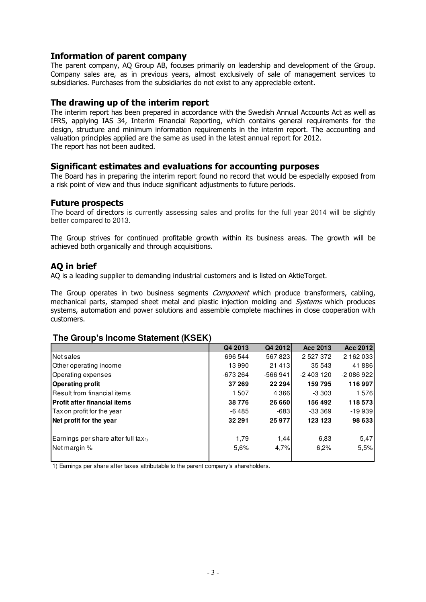#### Information of parent company

The parent company, AQ Group AB, focuses primarily on leadership and development of the Group. Company sales are, as in previous years, almost exclusively of sale of management services to subsidiaries. Purchases from the subsidiaries do not exist to any appreciable extent.

#### The drawing up of the interim report

The interim report has been prepared in accordance with the Swedish Annual Accounts Act as well as IFRS, applying IAS 34, Interim Financial Reporting, which contains general requirements for the design, structure and minimum information requirements in the interim report. The accounting and valuation principles applied are the same as used in the latest annual report for 2012. The report has not been audited.

#### Significant estimates and evaluations for accounting purposes

The Board has in preparing the interim report found no record that would be especially exposed from a risk point of view and thus induce significant adjustments to future periods.

#### Future prospects

The board of directors is currently assessing sales and profits for the full year 2014 will be slightly better compared to 2013.

The Group strives for continued profitable growth within its business areas. The growth will be achieved both organically and through acquisitions.

#### AQ in brief

AQ is a leading supplier to demanding industrial customers and is listed on AktieTorget.

The Group operates in two business segments *Component* which produce transformers, cabling, mechanical parts, stamped sheet metal and plastic injection molding and Systems which produces systems, automation and power solutions and assemble complete machines in close cooperation with customers.

#### **The Group's Income Statement (KSEK)**

|                                                 | Q4 2013   | Q4 2012   | Acc 2013      | Acc 2012   |
|-------------------------------------------------|-----------|-----------|---------------|------------|
| Net sales                                       | 696 544   | 567823    | 2 5 2 7 3 7 2 | 2 162 033  |
| Other operating income                          | 13990     | 21 4 1 3  | 35 543        | 41886      |
| Operating expenses                              | $-673264$ | $-566941$ | $-2403120$    | $-2086922$ |
| <b>Operating profit</b>                         | 37 269    | 22 294    | 159795        | 116 997    |
| lResult from financial items                    | 1507      | 4 3 6 6   | -3 303        | 1576       |
| <b>IProfit after financial items</b>            | 38776     | 26 660    | 156 492       | 118 573    |
| Tax on profit for the year                      | -6485     | $-683$    | -33 369       | $-19939$   |
| Net profit for the year                         | 32 291    | 25 977    | 123 123       | 98 633     |
| Earnings per share after full tax <sub>1)</sub> | 1,79      | 1,44      | 6,83          | 5,47       |
| Net margin %                                    | 5,6%      | 4,7%      | 6.2%          | 5,5%       |
|                                                 |           |           |               |            |

1) Earnings per share after taxes attributable to the parent company's shareholders.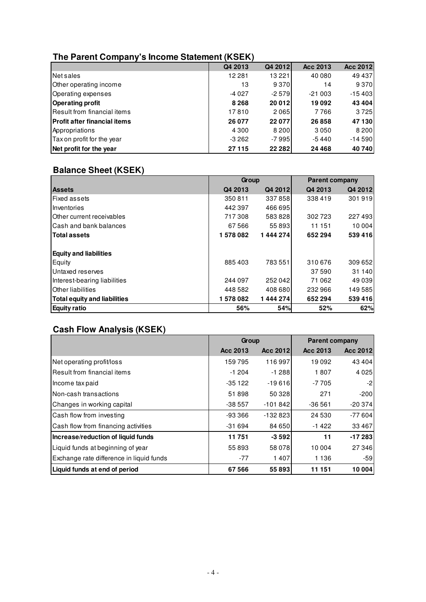### **The Parent Company's Income Statement (KSEK)**

|                                     | Q4 2013  | Q4 2012        | Acc 2013 | Acc 2012 |
|-------------------------------------|----------|----------------|----------|----------|
| Net sales                           | 12 2 8 1 | 13 2 2 1       | 40 080   | 49 437   |
| Other operating income              | 13       | 9370           | 14       | 9370     |
| Operating expenses                  | $-4027$  | $-2579$        | $-21003$ | $-15403$ |
| <b>Operating profit</b>             | 8 2 6 8  | 20 012         | 19092    | 43 404   |
| Result from financial items         | 17810    | 2065           | 7766     | 3725     |
| <b>Profit after financial items</b> | 26 077   | 22 0 77        | 26858    | 47130    |
| Appropriations                      | 4 3 0 0  | 8 2 0 0        | 3050     | 8 2 0 0  |
| Tax on profit for the year          | $-3262$  | -7 9951        | $-5440$  | $-14590$ |
| Net profit for the year             | 27 115   | <b>22 2821</b> | 24 4 68  | 40740    |

## **Balance Sheet (KSEK)**

|                                     | Group   |          | <b>Parent company</b> |         |  |
|-------------------------------------|---------|----------|-----------------------|---------|--|
| <b>Assets</b>                       | Q4 2013 | Q4 2012  | Q4 2013               | Q4 2012 |  |
| <b>Fixed assets</b>                 | 350811  | 337858   | 338419                | 301919  |  |
| Inventories                         | 442397  | 466 695  |                       |         |  |
| <b>Other current receivables</b>    | 717308  | 583828   | 302723                | 227493  |  |
| lCash and bank balances             | 67 5 66 | 55 893   | 11 151                | 10 004  |  |
| <b>Total assets</b>                 | 1578082 | 1444274  | 652 294               | 539416  |  |
| <b>Equity and liabilities</b>       |         |          |                       |         |  |
| Equity                              | 885403  | 783 551  | 310676                | 309 652 |  |
| Untaxed reserves                    |         |          | 37590                 | 31 140  |  |
| Interest-bearing liabilities        | 244 097 | 252042   | 71 062                | 49 0 39 |  |
| <b>Other liabilities</b>            | 448 582 | 408 680  | 232 966               | 149585  |  |
| <b>Total equity and liabilities</b> | 1578082 | 1444 274 | 652 294               | 539416  |  |
| <b>Equity ratio</b>                 | 56%     | 54%      | 52%                   | 62%     |  |

## **Cash Flow Analysis (KSEK)**

|                                          | Group    |           | <b>Parent company</b> |          |
|------------------------------------------|----------|-----------|-----------------------|----------|
|                                          | Acc 2013 | Acc 2012  | Acc 2013              | Acc 2012 |
| Net operating profit/loss                | 159795   | 116997    | 19092                 | 43 4 04  |
| l Result from financial items            | $-1204$  | $-1288$   | 1807                  | 4 0 2 5  |
| Income tax paid                          | -35 122  | $-19616$  | -7 705                | -2       |
| Non-cash transactions                    | 51898    | 50 328    | 271                   | $-200$   |
| Changes in working capital               | $-38557$ | $-101842$ | $-36561$              | $-20374$ |
| Cash flow from investing                 | $-93366$ | $-132823$ | 24 5 30               | $-77604$ |
| Cash flow from financing activities      | $-31694$ | 84 650    | $-1422$               | 33 4 6 7 |
| Increase/reduction of liquid funds       | 11751    | $-3592$   | 11                    | $-17283$ |
| Liquid funds at beginning of year        | 55893    | 58 078    | 10 004                | 27 346   |
| Exchange rate difference in liquid funds | $-77$    | 1407      | 1 1 3 6               | -59      |
| Liquid funds at end of period            | 67 566   | 55893     | 11 151                | 10 004   |